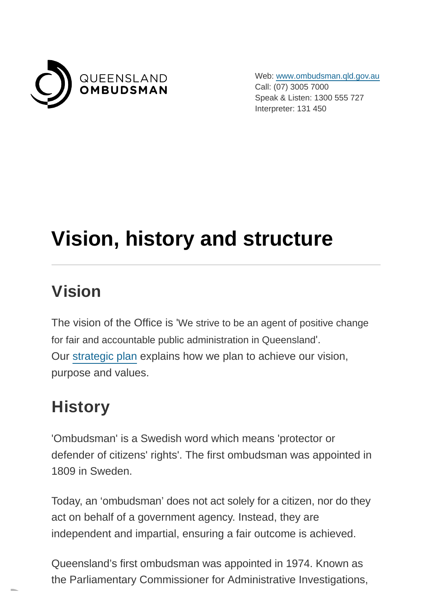

Web: [www.ombudsman.qld.gov.au](https://www.ombudsman.qld.gov.au/) Call: (07) 3005 7000 Speak & Listen: 1300 555 727 Interpreter: 131 450

# **Vision, history and structure**

## **Vision**

The vision of the Office is 'We strive to be an agent of positive change for fair and accountable public administration in Queensland'. Our [strategic plan](https://www.ombudsman.qld.gov.au/about-us/corporate-documents/strategic-plan-2021-25) explains how we plan to achieve our vision, purpose and values.

## **History**

'Ombudsman' is a Swedish word which means 'protector or defender of citizens' rights'. The first ombudsman was appointed in 1809 in Sweden.

Today, an 'ombudsman' does not act solely for a citizen, nor do they act on behalf of a government agency. Instead, they are independent and impartial, ensuring a fair outcome is achieved.

Queensland's first ombudsman was appointed in 1974. Known as the Parliamentary Commissioner for Administrative Investigations,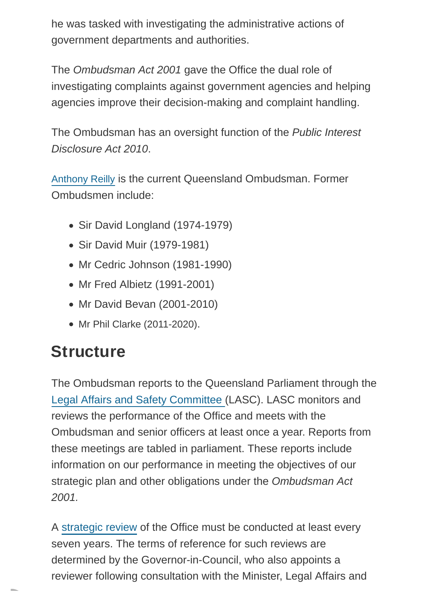he was tasked with investigating the administrative actions of government departments and authorities.

The Ombudsman Act 2001 gave the Office the dual role of investigating complaints against government agencies and helping agencies improve their decision-making and complaint handling.

The Ombudsman has an oversight function of the Public Interest Disclosure Act 2010.

[Anthony Reilly](https://www.ombudsman.qld.gov.au/what-we-do/role-of-the-ombudsman/the-ombudsman/the-ombudsman) is the current Queensland Ombudsman. Former Ombudsmen include:

- Sir David Longland (1974-1979)
- Sir David Muir (1979-1981)
- Mr Cedric Johnson (1981-1990)
- Mr Fred Albietz (1991-2001)
- Mr David Bevan (2001-2010)
- Mr Phil Clarke (2011-2020).

# **Structure**

The Ombudsman reports to the Queensland Parliament through the [Legal Affairs and Safety Committee \(](https://www.parliament.qld.gov.au/Work-of-Committees/Committees/Committee-Details?cid=170)LASC). LASC monitors and reviews the performance of the Office and meets with the Ombudsman and senior officers at least once a year. Reports from these meetings are tabled in parliament. These reports include information on our performance in meeting the objectives of our strategic plan and other obligations under the Ombudsman Act 2001.

A [strategic review](https://www.ombudsman.qld.gov.au/about-us/corporate-documents/strategic-review/strategic-review) of the Office must be conducted at least every seven years. The terms of reference for such reviews are determined by the Governor-in-Council, who also appoints a reviewer following consultation with the Minister, Legal Affairs and